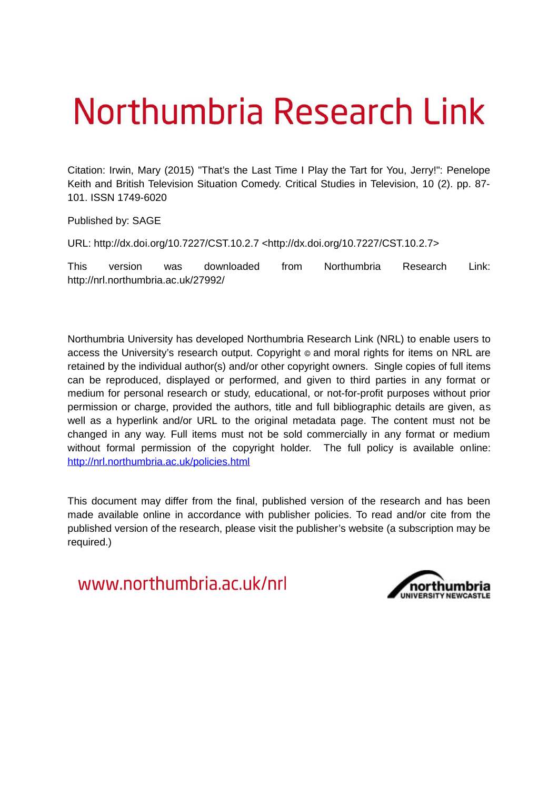# Northumbria Research Link

Citation: Irwin, Mary (2015) "That's the Last Time I Play the Tart for You, Jerry!": Penelope Keith and British Television Situation Comedy. Critical Studies in Television, 10 (2). pp. 87- 101. ISSN 1749-6020

Published by: SAGE

URL: http://dx.doi.org/10.7227/CST.10.2.7 <http://dx.doi.org/10.7227/CST.10.2.7>

This version was downloaded from Northumbria Research Link: http://nrl.northumbria.ac.uk/27992/

Northumbria University has developed Northumbria Research Link (NRL) to enable users to access the University's research output. Copyright  $\circ$  and moral rights for items on NRL are retained by the individual author(s) and/or other copyright owners. Single copies of full items can be reproduced, displayed or performed, and given to third parties in any format or medium for personal research or study, educational, or not-for-profit purposes without prior permission or charge, provided the authors, title and full bibliographic details are given, as well as a hyperlink and/or URL to the original metadata page. The content must not be changed in any way. Full items must not be sold commercially in any format or medium without formal permission of the copyright holder. The full policy is available online: <http://nrl.northumbria.ac.uk/policies.html>

This document may differ from the final, published version of the research and has been made available online in accordance with publisher policies. To read and/or cite from the published version of the research, please visit the publisher's website (a subscription may be required.)

www.northumbria.ac.uk/nrl

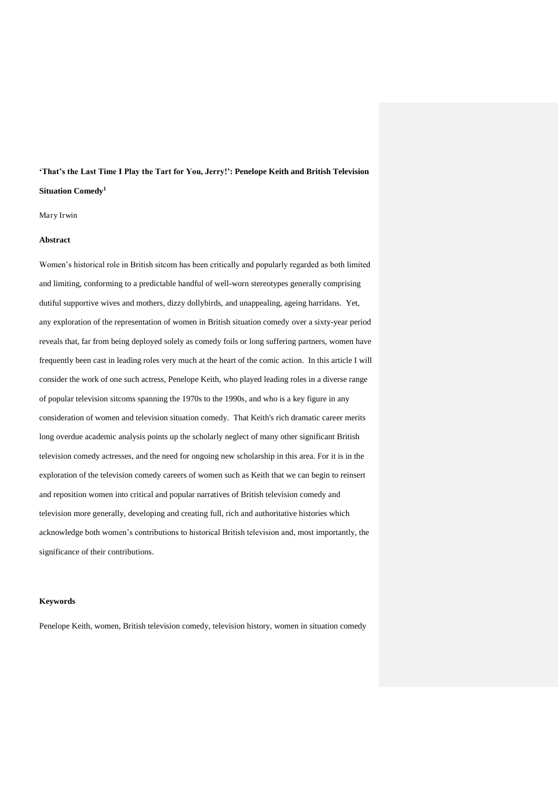# **'That's the Last Time I Play the Tart for You, Jerry!': Penelope Keith and British Television Situation Comedy<sup>1</sup>**

Mary Irwin

# **Abstract**

Women's historical role in British sitcom has been critically and popularly regarded as both limited and limiting, conforming to a predictable handful of well-worn stereotypes generally comprising dutiful supportive wives and mothers, dizzy dollybirds, and unappealing, ageing harridans. Yet, any exploration of the representation of women in British situation comedy over a sixty-year period reveals that, far from being deployed solely as comedy foils or long suffering partners, women have frequently been cast in leading roles very much at the heart of the comic action. In this article I will consider the work of one such actress, Penelope Keith, who played leading roles in a diverse range of popular television sitcoms spanning the 1970s to the 1990s, and who is a key figure in any consideration of women and television situation comedy. That Keith's rich dramatic career merits long overdue academic analysis points up the scholarly neglect of many other significant British television comedy actresses, and the need for ongoing new scholarship in this area. For it is in the exploration of the television comedy careers of women such as Keith that we can begin to reinsert and reposition women into critical and popular narratives of British television comedy and television more generally, developing and creating full, rich and authoritative histories which acknowledge both women's contributions to historical British television and, most importantly, the significance of their contributions.

#### **Keywords**

Penelope Keith, women, British television comedy, television history, women in situation comedy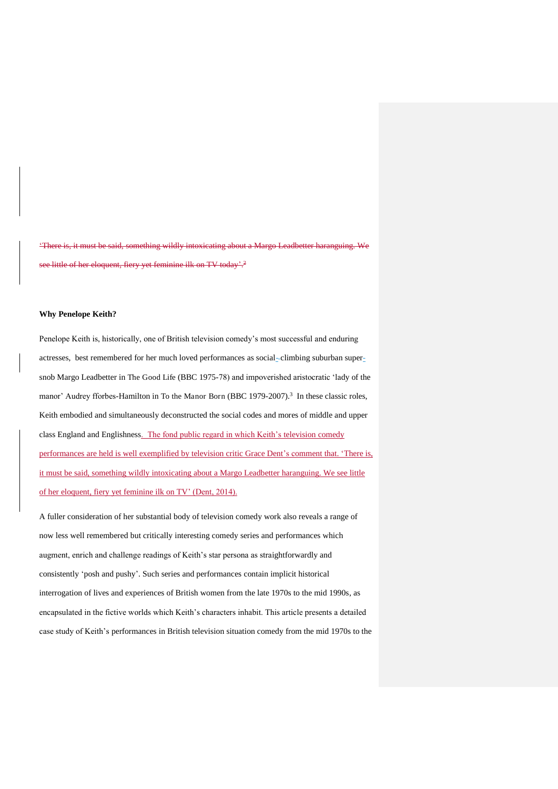'There is, it must be said, something wildly intoxicating about a Margo Leadbetter haranguing. We see little of her eloquent, fiery yet feminine ilk on TV today'.<sup>2</sup>

# **Why Penelope Keith?**

Penelope Keith is, historically, one of British television comedy's most successful and enduring actresses, best remembered for her much loved performances as social- climbing suburban supersnob Margo Leadbetter in The Good Life (BBC 1975-78) and impoverished aristocratic 'lady of the manor' Audrey fforbes-Hamilton in To the Manor Born (BBC 1979-2007).<sup>3</sup> In these classic roles, Keith embodied and simultaneously deconstructed the social codes and mores of middle and upper class England and Englishness. The fond public regard in which Keith's television comedy performances are held is well exemplified by television critic Grace Dent's comment that. 'There is, it must be said, something wildly intoxicating about a Margo Leadbetter haranguing. We see little of her eloquent, fiery yet feminine ilk on TV' (Dent, 2014).

A fuller consideration of her substantial body of television comedy work also reveals a range of now less well remembered but critically interesting comedy series and performances which augment, enrich and challenge readings of Keith's star persona as straightforwardly and consistently 'posh and pushy'. Such series and performances contain implicit historical interrogation of lives and experiences of British women from the late 1970s to the mid 1990s, as encapsulated in the fictive worlds which Keith's characters inhabit. This article presents a detailed case study of Keith's performances in British television situation comedy from the mid 1970s to the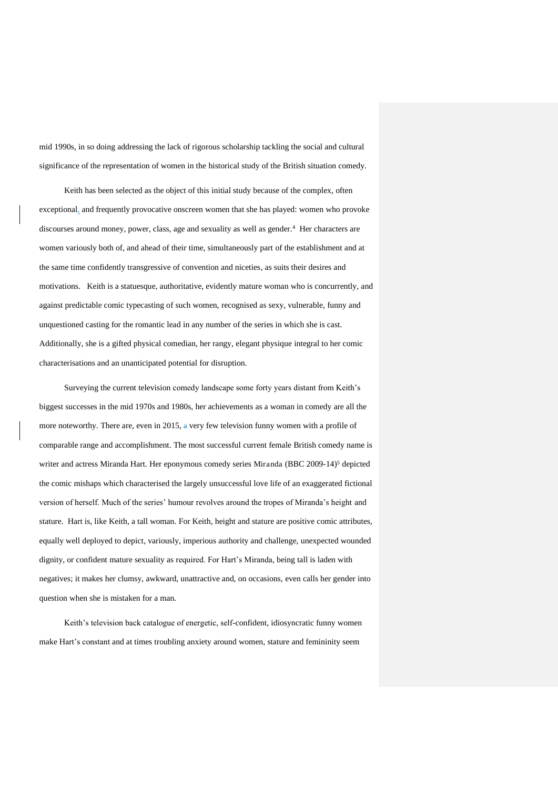mid 1990s, in so doing addressing the lack of rigorous scholarship tackling the social and cultural significance of the representation of women in the historical study of the British situation comedy.

Keith has been selected as the object of this initial study because of the complex, often exceptional, and frequently provocative onscreen women that she has played: women who provoke discourses around money, power, class, age and sexuality as well as gender.<sup>4</sup> Her characters are women variously both of, and ahead of their time, simultaneously part of the establishment and at the same time confidently transgressive of convention and niceties, as suits their desires and motivations. Keith is a statuesque, authoritative, evidently mature woman who is concurrently, and against predictable comic typecasting of such women, recognised as sexy, vulnerable, funny and unquestioned casting for the romantic lead in any number of the series in which she is cast. Additionally, she is a gifted physical comedian, her rangy, elegant physique integral to her comic characterisations and an unanticipated potential for disruption.

Surveying the current television comedy landscape some forty years distant from Keith's biggest successes in the mid 1970s and 1980s, her achievements as a woman in comedy are all the more noteworthy. There are, even in 2015, a very few television funny women with a profile of comparable range and accomplishment. The most successful current female British comedy name is writer and actress Miranda Hart. Her eponymous comedy series Miranda (BBC 2009-14)<sup>5</sup> depicted the comic mishaps which characterised the largely unsuccessful love life of an exaggerated fictional version of herself. Much of the series' humour revolves around the tropes of Miranda's height and stature. Hart is, like Keith, a tall woman. For Keith, height and stature are positive comic attributes, equally well deployed to depict, variously, imperious authority and challenge, unexpected wounded dignity, or confident mature sexuality as required. For Hart's Miranda, being tall is laden with negatives; it makes her clumsy, awkward, unattractive and, on occasions, even calls her gender into question when she is mistaken for a man.

Keith's television back catalogue of energetic, self-confident, idiosyncratic funny women make Hart's constant and at times troubling anxiety around women, stature and femininity seem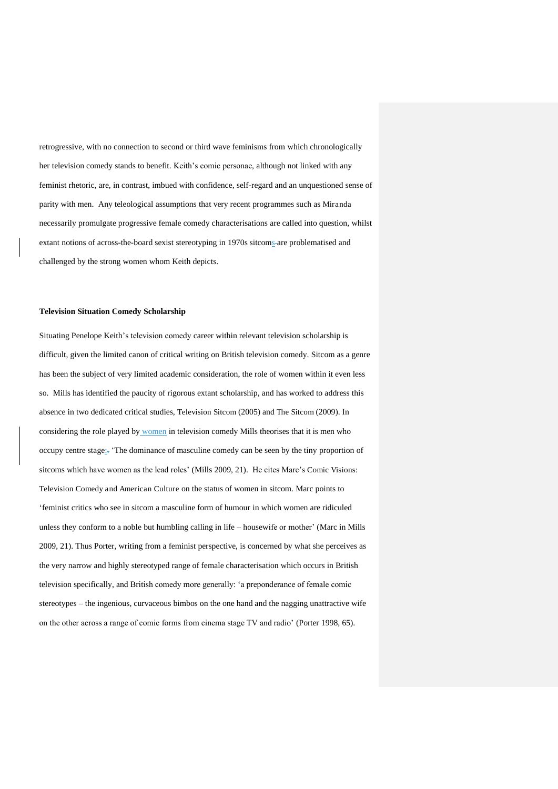retrogressive, with no connection to second or third wave feminisms from which chronologically her television comedy stands to benefit. Keith's comic personae, although not linked with any feminist rhetoric, are, in contrast, imbued with confidence, self-regard and an unquestioned sense of parity with men. Any teleological assumptions that very recent programmes such as Miranda necessarily promulgate progressive female comedy characterisations are called into question, whilst extant notions of across-the-board sexist stereotyping in 1970s sitcoms are problematised and challenged by the strong women whom Keith depicts.

# **Television Situation Comedy Scholarship**

Situating Penelope Keith's television comedy career within relevant television scholarship is difficult, given the limited canon of critical writing on British television comedy. Sitcom as a genre has been the subject of very limited academic consideration, the role of women within it even less so. Mills has identified the paucity of rigorous extant scholarship, and has worked to address this absence in two dedicated critical studies, Television Sitcom (2005) and The Sitcom (2009). In considering the role played by women in television comedy Mills theorises that it is men who occupy centre stage:. 'The dominance of masculine comedy can be seen by the tiny proportion of sitcoms which have women as the lead roles' (Mills 2009, 21). He cites Marc's Comic Visions: Television Comedy and American Culture on the status of women in sitcom. Marc points to 'feminist critics who see in sitcom a masculine form of humour in which women are ridiculed unless they conform to a noble but humbling calling in life – housewife or mother' (Marc in Mills 2009, 21). Thus Porter, writing from a feminist perspective, is concerned by what she perceives as the very narrow and highly stereotyped range of female characterisation which occurs in British television specifically, and British comedy more generally: 'a preponderance of female comic stereotypes – the ingenious, curvaceous bimbos on the one hand and the nagging unattractive wife on the other across a range of comic forms from cinema stage TV and radio' (Porter 1998, 65).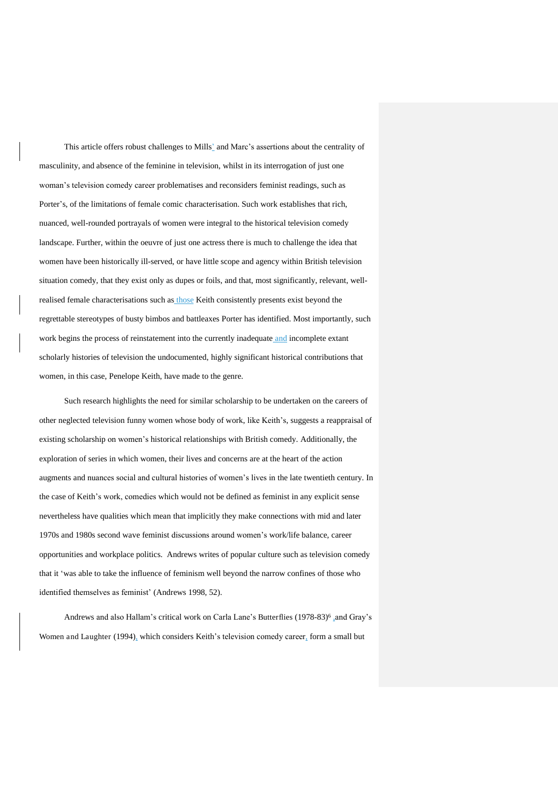This article offers robust challenges to Mills' and Marc's assertions about the centrality of masculinity, and absence of the feminine in television, whilst in its interrogation of just one woman's television comedy career problematises and reconsiders feminist readings, such as Porter's, of the limitations of female comic characterisation. Such work establishes that rich, nuanced, well-rounded portrayals of women were integral to the historical television comedy landscape. Further, within the oeuvre of just one actress there is much to challenge the idea that women have been historically ill-served, or have little scope and agency within British television situation comedy, that they exist only as dupes or foils, and that, most significantly, relevant, wellrealised female characterisations such as those Keith consistently presents exist beyond the regrettable stereotypes of busty bimbos and battleaxes Porter has identified. Most importantly, such work begins the process of reinstatement into the currently inadequate and incomplete extant scholarly histories of television the undocumented, highly significant historical contributions that women, in this case, Penelope Keith, have made to the genre.

Such research highlights the need for similar scholarship to be undertaken on the careers of other neglected television funny women whose body of work, like Keith's, suggests a reappraisal of existing scholarship on women's historical relationships with British comedy. Additionally, the exploration of series in which women, their lives and concerns are at the heart of the action augments and nuances social and cultural histories of women's lives in the late twentieth century. In the case of Keith's work, comedies which would not be defined as feminist in any explicit sense nevertheless have qualities which mean that implicitly they make connections with mid and later 1970s and 1980s second wave feminist discussions around women's work/life balance, career opportunities and workplace politics. Andrews writes of popular culture such as television comedy that it 'was able to take the influence of feminism well beyond the narrow confines of those who identified themselves as feminist' (Andrews 1998, 52).

Andrews and also Hallam's critical work on Carla Lane's Butterflies (1978-83)<sup>6</sup> and Gray's Women and Laughter (1994), which considers Keith's television comedy career, form a small but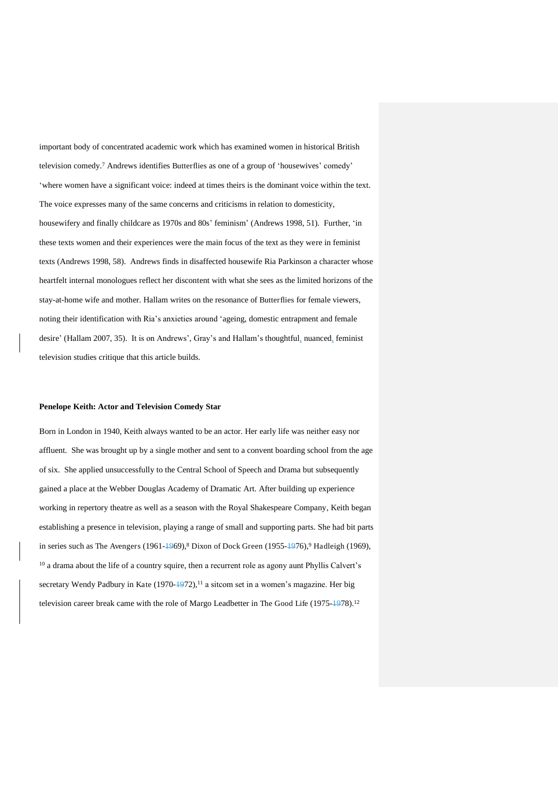important body of concentrated academic work which has examined women in historical British television comedy.<sup>7</sup> Andrews identifies Butterflies as one of a group of 'housewives' comedy' 'where women have a significant voice: indeed at times theirs is the dominant voice within the text. The voice expresses many of the same concerns and criticisms in relation to domesticity, housewifery and finally childcare as 1970s and 80s' feminism' (Andrews 1998, 51). Further, 'in these texts women and their experiences were the main focus of the text as they were in feminist texts (Andrews 1998, 58). Andrews finds in disaffected housewife Ria Parkinson a character whose heartfelt internal monologues reflect her discontent with what she sees as the limited horizons of the stay-at-home wife and mother. Hallam writes on the resonance of Butterflies for female viewers, noting their identification with Ria's anxieties around 'ageing, domestic entrapment and female desire' (Hallam 2007, 35). It is on Andrews', Gray's and Hallam's thoughtful, nuanced, feminist television studies critique that this article builds.

#### **Penelope Keith: Actor and Television Comedy Star**

Born in London in 1940, Keith always wanted to be an actor. Her early life was neither easy nor affluent. She was brought up by a single mother and sent to a convent boarding school from the age of six. She applied unsuccessfully to the Central School of Speech and Drama but subsequently gained a place at the Webber Douglas Academy of Dramatic Art. After building up experience working in repertory theatre as well as a season with the Royal Shakespeare Company, Keith began establishing a presence in television, playing a range of small and supporting parts. She had bit parts in series such as The Avengers (1961- $\frac{1969}{8}$ ), Dixon of Dock Green (1955- $\frac{1976}{8}$ , Hadleigh (1969), <sup>10</sup> a drama about the life of a country squire, then a recurrent role as agony aunt Phyllis Calvert's secretary Wendy Padbury in Kate  $(1970-1972)$ ,<sup>11</sup> a sitcom set in a women's magazine. Her big television career break came with the role of Margo Leadbetter in The Good Life (1975-1978).<sup>12</sup>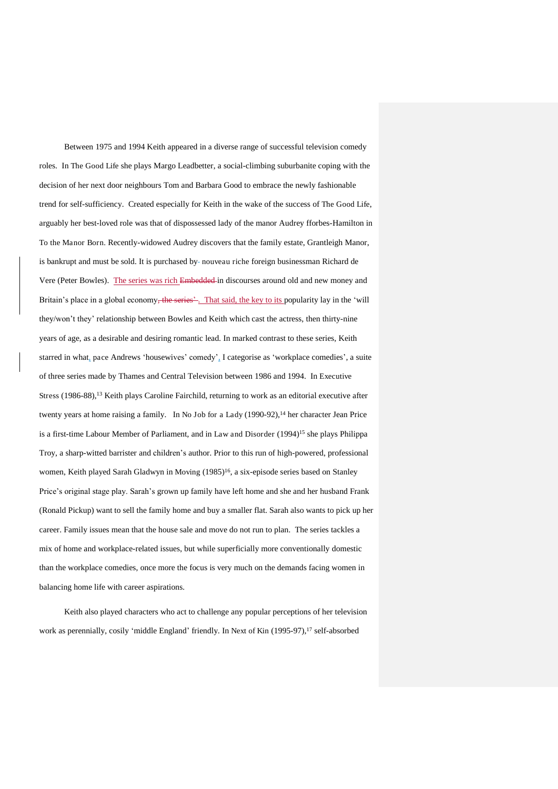Between 1975 and 1994 Keith appeared in a diverse range of successful television comedy roles. In The Good Life she plays Margo Leadbetter, a social-climbing suburbanite coping with the decision of her next door neighbours Tom and Barbara Good to embrace the newly fashionable trend for self-sufficiency. Created especially for Keith in the wake of the success of The Good Life, arguably her best-loved role was that of dispossessed lady of the manor Audrey fforbes-Hamilton in To the Manor Born. Recently-widowed Audrey discovers that the family estate, Grantleigh Manor, is bankrupt and must be sold. It is purchased by-nouveau riche foreign businessman Richard de Vere (Peter Bowles). The series was rich Embedded in discourses around old and new money and Britain's place in a global economy<del>, the series<sup>2</sup></del>. That said, the key to its popularity lay in the 'will they/won't they' relationship between Bowles and Keith which cast the actress, then thirty-nine years of age, as a desirable and desiring romantic lead. In marked contrast to these series, Keith starred in what, pace Andrews 'housewives' comedy', I categorise as 'workplace comedies', a suite of three series made by Thames and Central Television between 1986 and 1994. In Executive Stress (1986-88),<sup>13</sup> Keith plays Caroline Fairchild, returning to work as an editorial executive after twenty years at home raising a family. In No Job for a Lady (1990-92),<sup>14</sup> her character Jean Price is a first-time Labour Member of Parliament, and in Law and Disorder (1994)<sup>15</sup> she plays Philippa Troy, a sharp-witted barrister and children's author. Prior to this run of high-powered, professional women, Keith played Sarah Gladwyn in Moving (1985)<sup>16</sup>, a six-episode series based on Stanley Price's original stage play. Sarah's grown up family have left home and she and her husband Frank (Ronald Pickup) want to sell the family home and buy a smaller flat. Sarah also wants to pick up her career. Family issues mean that the house sale and move do not run to plan. The series tackles a mix of home and workplace-related issues, but while superficially more conventionally domestic than the workplace comedies, once more the focus is very much on the demands facing women in balancing home life with career aspirations.

Keith also played characters who act to challenge any popular perceptions of her television work as perennially, cosily 'middle England' friendly. In Next of Kin (1995-97),<sup>17</sup> self-absorbed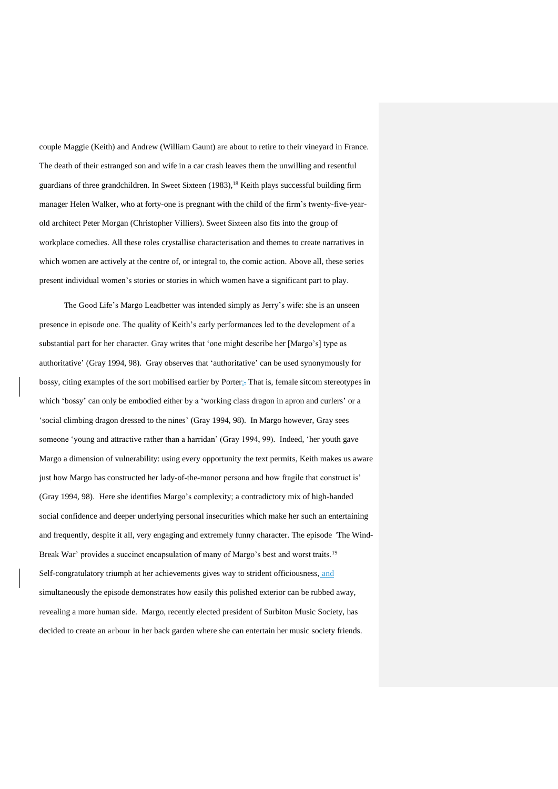couple Maggie (Keith) and Andrew (William Gaunt) are about to retire to their vineyard in France. The death of their estranged son and wife in a car crash leaves them the unwilling and resentful guardians of three grandchildren. In Sweet Sixteen (1983),<sup>18</sup> Keith plays successful building firm manager Helen Walker, who at forty-one is pregnant with the child of the firm's twenty-five-yearold architect Peter Morgan (Christopher Villiers). Sweet Sixteen also fits into the group of workplace comedies. All these roles crystallise characterisation and themes to create narratives in which women are actively at the centre of, or integral to, the comic action. Above all, these series present individual women's stories or stories in which women have a significant part to play.

The Good Life's Margo Leadbetter was intended simply as Jerry's wife: she is an unseen presence in episode one. The quality of Keith's early performances led to the development of a substantial part for her character. Gray writes that 'one might describe her [Margo's] type as authoritative' (Gray 1994, 98). Gray observes that 'authoritative' can be used synonymously for bossy, citing examples of the sort mobilised earlier by Porter:. That is, female sitcom stereotypes in which 'bossy' can only be embodied either by a 'working class dragon in apron and curlers' or a 'social climbing dragon dressed to the nines' (Gray 1994, 98). In Margo however, Gray sees someone 'young and attractive rather than a harridan' (Gray 1994, 99). Indeed, 'her youth gave Margo a dimension of vulnerability: using every opportunity the text permits, Keith makes us aware just how Margo has constructed her lady-of-the-manor persona and how fragile that construct is' (Gray 1994, 98). Here she identifies Margo's complexity; a contradictory mix of high-handed social confidence and deeper underlying personal insecurities which make her such an entertaining and frequently, despite it all, very engaging and extremely funny character. The episode *'*The Wind-Break War' provides a succinct encapsulation of many of Margo's best and worst traits.<sup>19</sup> Self-congratulatory triumph at her achievements gives way to strident officiousness, and simultaneously the episode demonstrates how easily this polished exterior can be rubbed away, revealing a more human side. Margo, recently elected president of Surbiton Music Society, has decided to create an arbour in her back garden where she can entertain her music society friends.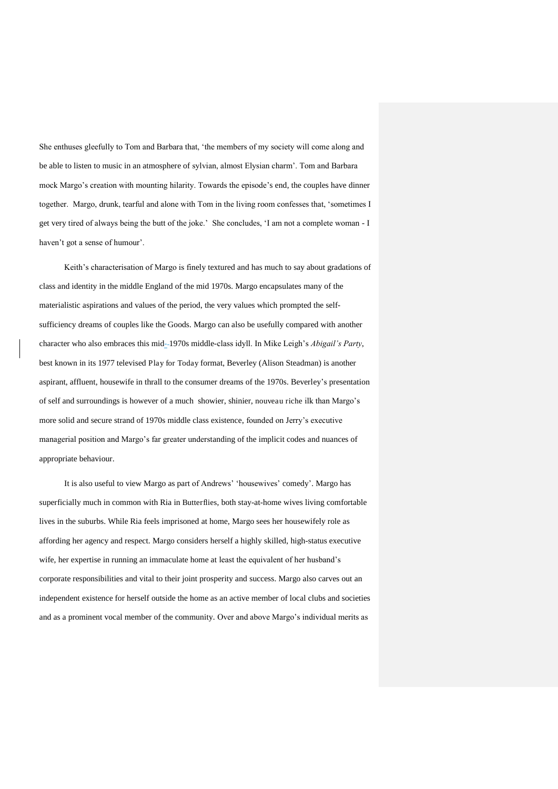She enthuses gleefully to Tom and Barbara that, 'the members of my society will come along and be able to listen to music in an atmosphere of sylvian, almost Elysian charm'. Tom and Barbara mock Margo's creation with mounting hilarity. Towards the episode's end, the couples have dinner together. Margo, drunk, tearful and alone with Tom in the living room confesses that, 'sometimes I get very tired of always being the butt of the joke.' She concludes, 'I am not a complete woman - I haven't got a sense of humour'.

Keith's characterisation of Margo is finely textured and has much to say about gradations of class and identity in the middle England of the mid 1970s. Margo encapsulates many of the materialistic aspirations and values of the period, the very values which prompted the selfsufficiency dreams of couples like the Goods. Margo can also be usefully compared with another character who also embraces this mid- 1970s middle-class idyll. In Mike Leigh's *Abigail's Party*, best known in its 1977 televised Play for Today format, Beverley (Alison Steadman) is another aspirant, affluent, housewife in thrall to the consumer dreams of the 1970s. Beverley's presentation of self and surroundings is however of a much showier, shinier, nouveau riche ilk than Margo's more solid and secure strand of 1970s middle class existence, founded on Jerry's executive managerial position and Margo's far greater understanding of the implicit codes and nuances of appropriate behaviour.

It is also useful to view Margo as part of Andrews' 'housewives' comedy'. Margo has superficially much in common with Ria in Butterflies, both stay-at-home wives living comfortable lives in the suburbs. While Ria feels imprisoned at home, Margo sees her housewifely role as affording her agency and respect. Margo considers herself a highly skilled, high-status executive wife, her expertise in running an immaculate home at least the equivalent of her husband's corporate responsibilities and vital to their joint prosperity and success. Margo also carves out an independent existence for herself outside the home as an active member of local clubs and societies and as a prominent vocal member of the community. Over and above Margo's individual merits as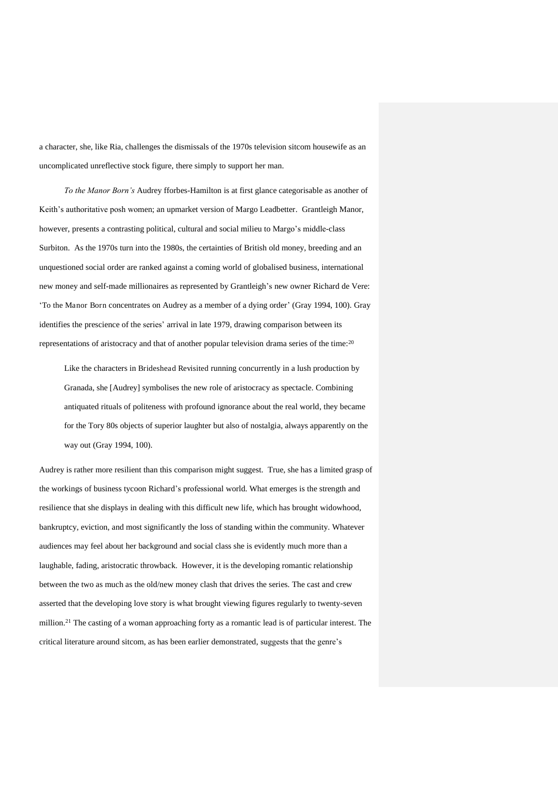a character, she, like Ria, challenges the dismissals of the 1970s television sitcom housewife as an uncomplicated unreflective stock figure, there simply to support her man.

*To the Manor Born's* Audrey fforbes-Hamilton is at first glance categorisable as another of Keith's authoritative posh women; an upmarket version of Margo Leadbetter. Grantleigh Manor, however, presents a contrasting political, cultural and social milieu to Margo's middle-class Surbiton. As the 1970s turn into the 1980s, the certainties of British old money, breeding and an unquestioned social order are ranked against a coming world of globalised business, international new money and self-made millionaires as represented by Grantleigh's new owner Richard de Vere: 'To the Manor Born concentrates on Audrey as a member of a dying order' (Gray 1994, 100). Gray identifies the prescience of the series' arrival in late 1979, drawing comparison between its representations of aristocracy and that of another popular television drama series of the time:<sup>20</sup>

Like the characters in Brideshead Revisited running concurrently in a lush production by Granada, she [Audrey] symbolises the new role of aristocracy as spectacle. Combining antiquated rituals of politeness with profound ignorance about the real world, they became for the Tory 80s objects of superior laughter but also of nostalgia, always apparently on the way out (Gray 1994, 100).

Audrey is rather more resilient than this comparison might suggest. True, she has a limited grasp of the workings of business tycoon Richard's professional world. What emerges is the strength and resilience that she displays in dealing with this difficult new life, which has brought widowhood, bankruptcy, eviction, and most significantly the loss of standing within the community. Whatever audiences may feel about her background and social class she is evidently much more than a laughable, fading, aristocratic throwback. However, it is the developing romantic relationship between the two as much as the old/new money clash that drives the series. The cast and crew asserted that the developing love story is what brought viewing figures regularly to twenty-seven million.<sup>21</sup> The casting of a woman approaching forty as a romantic lead is of particular interest. The critical literature around sitcom, as has been earlier demonstrated, suggests that the genre's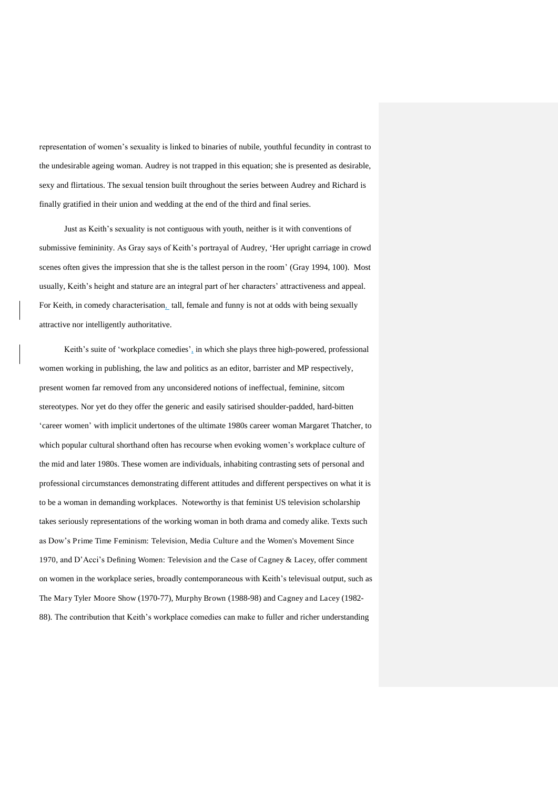representation of women's sexuality is linked to binaries of nubile, youthful fecundity in contrast to the undesirable ageing woman. Audrey is not trapped in this equation; she is presented as desirable, sexy and flirtatious. The sexual tension built throughout the series between Audrey and Richard is finally gratified in their union and wedding at the end of the third and final series.

Just as Keith's sexuality is not contiguous with youth, neither is it with conventions of submissive femininity. As Gray says of Keith's portrayal of Audrey, 'Her upright carriage in crowd scenes often gives the impression that she is the tallest person in the room' (Gray 1994, 100). Most usually, Keith's height and stature are an integral part of her characters' attractiveness and appeal. For Keith, in comedy characterisation, tall, female and funny is not at odds with being sexually attractive nor intelligently authoritative.

Keith's suite of 'workplace comedies', in which she plays three high-powered, professional women working in publishing, the law and politics as an editor, barrister and MP respectively, present women far removed from any unconsidered notions of ineffectual, feminine, sitcom stereotypes. Nor yet do they offer the generic and easily satirised shoulder-padded, hard-bitten 'career women' with implicit undertones of the ultimate 1980s career woman Margaret Thatcher, to which popular cultural shorthand often has recourse when evoking women's workplace culture of the mid and later 1980s. These women are individuals, inhabiting contrasting sets of personal and professional circumstances demonstrating different attitudes and different perspectives on what it is to be a woman in demanding workplaces. Noteworthy is that feminist US television scholarship takes seriously representations of the working woman in both drama and comedy alike. Texts such as Dow's Prime Time Feminism: Television, Media Culture and the Women's Movement Since 1970, and D'Acci's Defining Women: Television and the Case of Cagney & Lacey, offer comment on women in the workplace series, broadly contemporaneous with Keith's televisual output, such as The Mary Tyler Moore Show (1970-77), Murphy Brown (1988-98) and Cagney and Lacey (1982- 88). The contribution that Keith's workplace comedies can make to fuller and richer understanding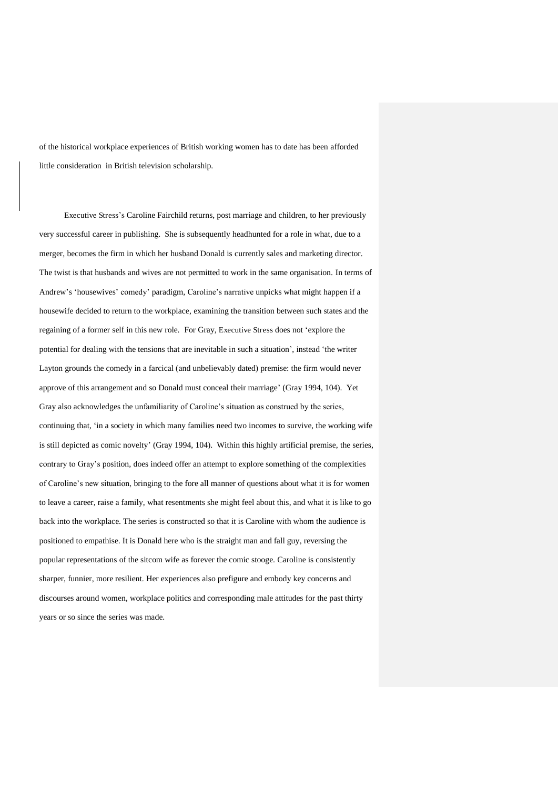of the historical workplace experiences of British working women has to date has been afforded little consideration in British television scholarship.

Executive Stress's Caroline Fairchild returns, post marriage and children, to her previously very successful career in publishing. She is subsequently headhunted for a role in what, due to a merger, becomes the firm in which her husband Donald is currently sales and marketing director. The twist is that husbands and wives are not permitted to work in the same organisation. In terms of Andrew's 'housewives' comedy' paradigm, Caroline's narrative unpicks what might happen if a housewife decided to return to the workplace, examining the transition between such states and the regaining of a former self in this new role. For Gray, Executive Stress does not 'explore the potential for dealing with the tensions that are inevitable in such a situation', instead 'the writer Layton grounds the comedy in a farcical (and unbelievably dated) premise: the firm would never approve of this arrangement and so Donald must conceal their marriage' (Gray 1994, 104). Yet Gray also acknowledges the unfamiliarity of Caroline's situation as construed by the series, continuing that, 'in a society in which many families need two incomes to survive, the working wife is still depicted as comic novelty' (Gray 1994, 104). Within this highly artificial premise, the series, contrary to Gray's position, does indeed offer an attempt to explore something of the complexities of Caroline's new situation, bringing to the fore all manner of questions about what it is for women to leave a career, raise a family, what resentments she might feel about this, and what it is like to go back into the workplace. The series is constructed so that it is Caroline with whom the audience is positioned to empathise. It is Donald here who is the straight man and fall guy, reversing the popular representations of the sitcom wife as forever the comic stooge. Caroline is consistently sharper, funnier, more resilient. Her experiences also prefigure and embody key concerns and discourses around women, workplace politics and corresponding male attitudes for the past thirty years or so since the series was made.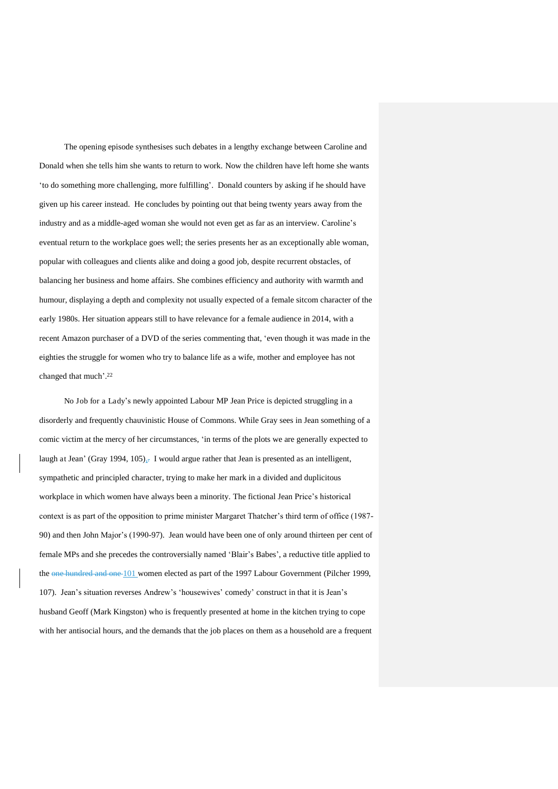The opening episode synthesises such debates in a lengthy exchange between Caroline and Donald when she tells him she wants to return to work. Now the children have left home she wants 'to do something more challenging, more fulfilling'. Donald counters by asking if he should have given up his career instead. He concludes by pointing out that being twenty years away from the industry and as a middle-aged woman she would not even get as far as an interview. Caroline's eventual return to the workplace goes well; the series presents her as an exceptionally able woman, popular with colleagues and clients alike and doing a good job, despite recurrent obstacles, of balancing her business and home affairs. She combines efficiency and authority with warmth and humour, displaying a depth and complexity not usually expected of a female sitcom character of the early 1980s. Her situation appears still to have relevance for a female audience in 2014, with a recent Amazon purchaser of a DVD of the series commenting that, 'even though it was made in the eighties the struggle for women who try to balance life as a wife, mother and employee has not changed that much'. 22

No Job for a Lady's newly appointed Labour MP Jean Price is depicted struggling in a disorderly and frequently chauvinistic House of Commons. While Gray sees in Jean something of a comic victim at the mercy of her circumstances, 'in terms of the plots we are generally expected to laugh at Jean' (Gray 1994, 105)<sub> $x$ </sub>. I would argue rather that Jean is presented as an intelligent, sympathetic and principled character, trying to make her mark in a divided and duplicitous workplace in which women have always been a minority. The fictional Jean Price's historical context is as part of the opposition to prime minister Margaret Thatcher's third term of office (1987- 90) and then John Major's (1990-97). Jean would have been one of only around thirteen per cent of female MPs and she precedes the controversially named 'Blair's Babes', a reductive title applied to the one hundred and one 101 women elected as part of the 1997 Labour Government (Pilcher 1999, 107). Jean's situation reverses Andrew's 'housewives' comedy' construct in that it is Jean's husband Geoff (Mark Kingston) who is frequently presented at home in the kitchen trying to cope with her antisocial hours, and the demands that the job places on them as a household are a frequent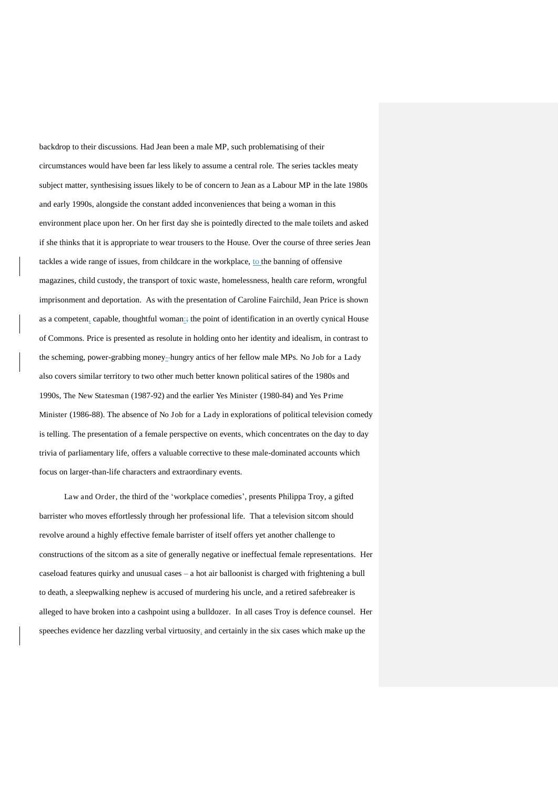backdrop to their discussions. Had Jean been a male MP, such problematising of their circumstances would have been far less likely to assume a central role. The series tackles meaty subject matter, synthesising issues likely to be of concern to Jean as a Labour MP in the late 1980s and early 1990s, alongside the constant added inconveniences that being a woman in this environment place upon her. On her first day she is pointedly directed to the male toilets and asked if she thinks that it is appropriate to wear trousers to the House. Over the course of three series Jean tackles a wide range of issues, from childcare in the workplace, to the banning of offensive magazines, child custody, the transport of toxic waste, homelessness, health care reform, wrongful imprisonment and deportation. As with the presentation of Caroline Fairchild, Jean Price is shown as a competent, capable, thoughtful woman<sub>:</sub>; the point of identification in an overtly cynical House of Commons. Price is presented as resolute in holding onto her identity and idealism, in contrast to the scheming, power-grabbing money- hungry antics of her fellow male MPs. No Job for a Lady also covers similar territory to two other much better known political satires of the 1980s and 1990s, The New Statesman (1987-92) and the earlier Yes Minister (1980-84) and Yes Prime Minister (1986-88). The absence of No Job for a Lady in explorations of political television comedy is telling. The presentation of a female perspective on events, which concentrates on the day to day trivia of parliamentary life, offers a valuable corrective to these male-dominated accounts which focus on larger-than-life characters and extraordinary events.

Law and Order, the third of the 'workplace comedies', presents Philippa Troy, a gifted barrister who moves effortlessly through her professional life. That a television sitcom should revolve around a highly effective female barrister of itself offers yet another challenge to constructions of the sitcom as a site of generally negative or ineffectual female representations. Her caseload features quirky and unusual cases – a hot air balloonist is charged with frightening a bull to death, a sleepwalking nephew is accused of murdering his uncle, and a retired safebreaker is alleged to have broken into a cashpoint using a bulldozer. In all cases Troy is defence counsel. Her speeches evidence her dazzling verbal virtuosity, and certainly in the six cases which make up the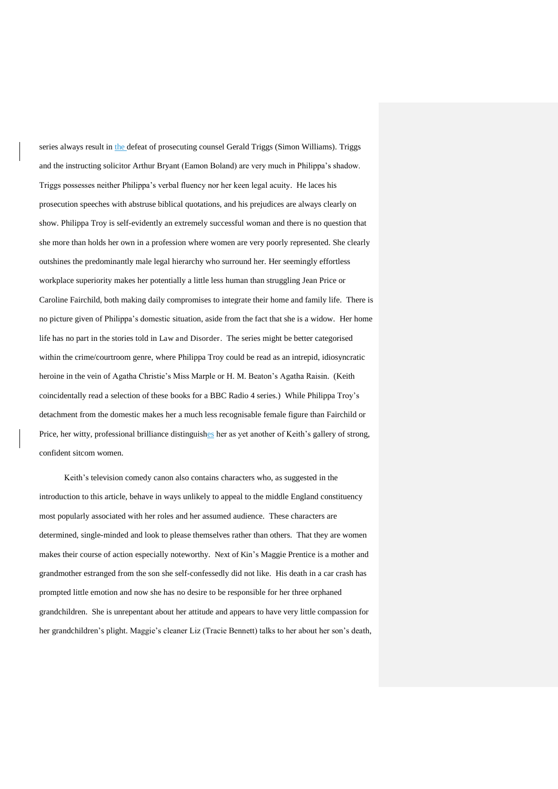series always result in the defeat of prosecuting counsel Gerald Triggs (Simon Williams). Triggs and the instructing solicitor Arthur Bryant (Eamon Boland) are very much in Philippa's shadow. Triggs possesses neither Philippa's verbal fluency nor her keen legal acuity. He laces his prosecution speeches with abstruse biblical quotations, and his prejudices are always clearly on show. Philippa Troy is self-evidently an extremely successful woman and there is no question that she more than holds her own in a profession where women are very poorly represented. She clearly outshines the predominantly male legal hierarchy who surround her. Her seemingly effortless workplace superiority makes her potentially a little less human than struggling Jean Price or Caroline Fairchild, both making daily compromises to integrate their home and family life. There is no picture given of Philippa's domestic situation, aside from the fact that she is a widow. Her home life has no part in the stories told in Law and Disorder. The series might be better categorised within the crime/courtroom genre, where Philippa Troy could be read as an intrepid, idiosyncratic heroine in the vein of Agatha Christie's Miss Marple or H. M. Beaton's Agatha Raisin. (Keith coincidentally read a selection of these books for a BBC Radio 4 series.) While Philippa Troy's detachment from the domestic makes her a much less recognisable female figure than Fairchild or Price, her witty, professional brilliance distinguishes her as yet another of Keith's gallery of strong, confident sitcom women.

Keith's television comedy canon also contains characters who, as suggested in the introduction to this article, behave in ways unlikely to appeal to the middle England constituency most popularly associated with her roles and her assumed audience. These characters are determined, single-minded and look to please themselves rather than others. That they are women makes their course of action especially noteworthy. Next of Kin's Maggie Prentice is a mother and grandmother estranged from the son she self-confessedly did not like. His death in a car crash has prompted little emotion and now she has no desire to be responsible for her three orphaned grandchildren. She is unrepentant about her attitude and appears to have very little compassion for her grandchildren's plight. Maggie's cleaner Liz (Tracie Bennett) talks to her about her son's death,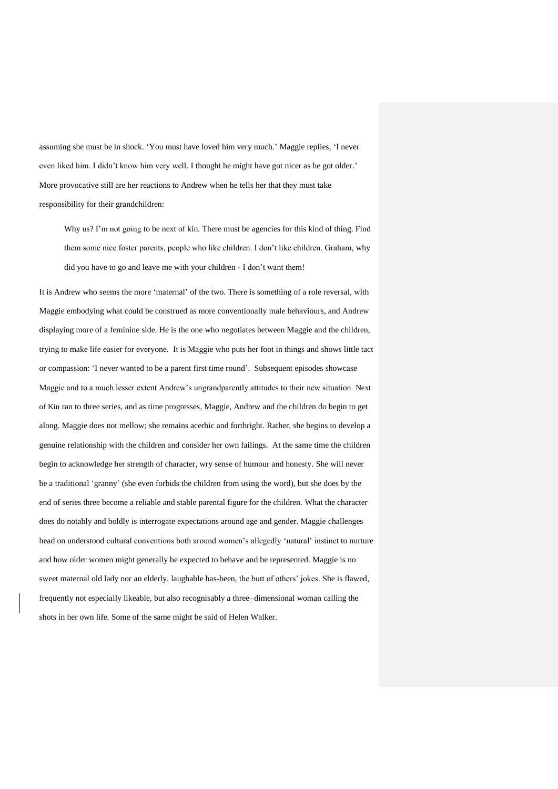assuming she must be in shock. 'You must have loved him very much.' Maggie replies, 'I never even liked him. I didn't know him very well. I thought he might have got nicer as he got older.' More provocative still are her reactions to Andrew when he tells her that they must take responsibility for their grandchildren:

Why us? I'm not going to be next of kin. There must be agencies for this kind of thing. Find them some nice foster parents, people who like children. I don't like children. Graham, why did you have to go and leave me with your children - I don't want them!

It is Andrew who seems the more 'maternal' of the two. There is something of a role reversal, with Maggie embodying what could be construed as more conventionally male behaviours, and Andrew displaying more of a feminine side. He is the one who negotiates between Maggie and the children, trying to make life easier for everyone. It is Maggie who puts her foot in things and shows little tact or compassion: 'I never wanted to be a parent first time round'. Subsequent episodes showcase Maggie and to a much lesser extent Andrew's ungrandparently attitudes to their new situation. Next of Kin ran to three series, and as time progresses, Maggie, Andrew and the children do begin to get along. Maggie does not mellow; she remains acerbic and forthright. Rather, she begins to develop a genuine relationship with the children and consider her own failings. At the same time the children begin to acknowledge her strength of character, wry sense of humour and honesty. She will never be a traditional 'granny' (she even forbids the children from using the word), but she does by the end of series three become a reliable and stable parental figure for the children. What the character does do notably and boldly is interrogate expectations around age and gender. Maggie challenges head on understood cultural conventions both around women's allegedly 'natural' instinct to nurture and how older women might generally be expected to behave and be represented. Maggie is no sweet maternal old lady nor an elderly, laughable has-been, the butt of others' jokes. She is flawed, frequently not especially likeable, but also recognisably a three- dimensional woman calling the shots in her own life. Some of the same might be said of Helen Walker.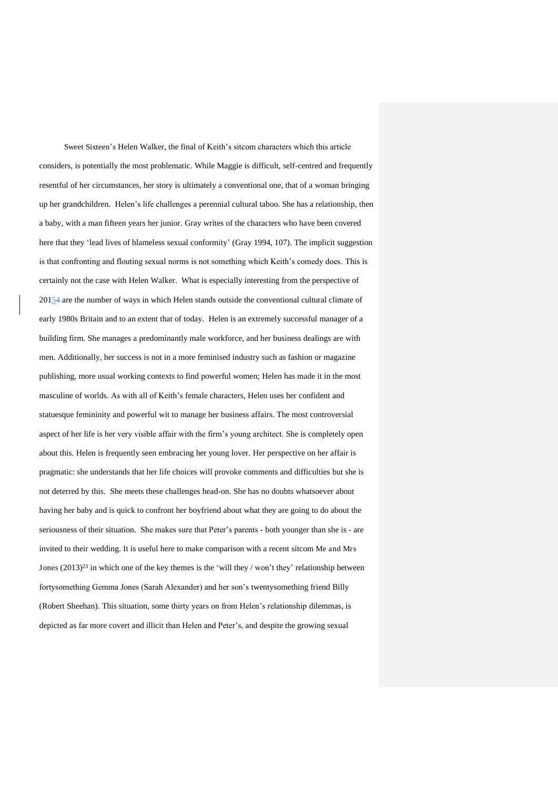Sweet Sixteen's Helen Walker, the final of Keith's sitcom characters which this article considers, is potentially the most problematic. While Maggie is difficult, self-centred and frequently resentful of her circumstances, her story is ultimately a conventional one, that of a woman bringing up her grandchildren. Helen's life challenges a perennial cultural taboo. She has a relationship, then a baby, with a man fifteen years her junior. Gray writes of the characters who have been covered here that they 'lead lives of blameless sexual conformity' (Gray 1994, 107). The implicit suggestion is that confronting and flouting sexual norms is not something which Keith's comedy does. This is certainly not the case with Helen Walker. What is especially interesting from the perspective of  $20154$  are the number of ways in which Helen stands outside the conventional cultural climate of early 1980s Britain and to an extent that of today. Helen is an extremely successful manager of a building firm. She manages a predominantly male workforce, and her business dealings are with men. Additionally, her success is not in a more feminised industry such as fashion or magazine publishing, more usual working contexts to find powerful women; Helen has made it in the most masculine of worlds. As with all of Keith's female characters, Helen uses her confident and statuesque femininity and powerful wit to manage her business affairs. The most controversial aspect of her life is her very visible affair with the firm's young architect. She is completely open about this. Helen is frequently seen embracing her young lover. Her perspective on her affair is pragmatic: she understands that her life choices will provoke comments and difficulties but she is not deterred by this. She meets these challenges head-on. She has no doubts whatsoever about having her baby and is quick to confront her boyfriend about what they are going to do about the seriousness of their situation. She makes sure that Peter's parents - both younger than she is - are invited to their wedding. It is useful here to make comparison with a recent sitcom Me and Mrs Jones  $(2013)^{23}$  in which one of the key themes is the 'will they / won't they' relationship between fortysomething Gemma Jones (Sarah Alexander) and her son's twentysomething friend Billy (Robert Sheehan). This situation, some thirty years on from Helen's relationship dilemmas, is depicted as far more covert and illicit than Helen and Peter's, and despite the growing sexual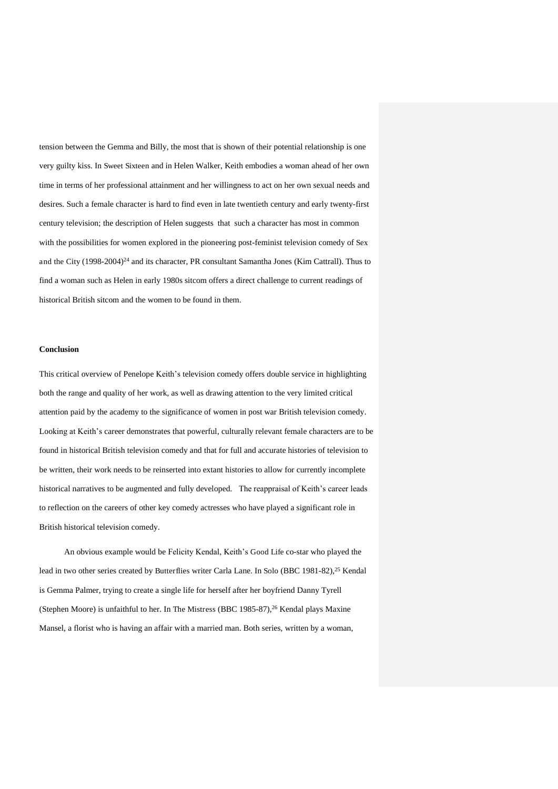tension between the Gemma and Billy, the most that is shown of their potential relationship is one very guilty kiss. In Sweet Sixteen and in Helen Walker, Keith embodies a woman ahead of her own time in terms of her professional attainment and her willingness to act on her own sexual needs and desires. Such a female character is hard to find even in late twentieth century and early twenty-first century television; the description of Helen suggests that such a character has most in common with the possibilities for women explored in the pioneering post-feminist television comedy of Sex and the City (1998-2004)<sup>24</sup> and its character, PR consultant Samantha Jones (Kim Cattrall). Thus to find a woman such as Helen in early 1980s sitcom offers a direct challenge to current readings of historical British sitcom and the women to be found in them.

### **Conclusion**

This critical overview of Penelope Keith's television comedy offers double service in highlighting both the range and quality of her work, as well as drawing attention to the very limited critical attention paid by the academy to the significance of women in post war British television comedy. Looking at Keith's career demonstrates that powerful, culturally relevant female characters are to be found in historical British television comedy and that for full and accurate histories of television to be written, their work needs to be reinserted into extant histories to allow for currently incomplete historical narratives to be augmented and fully developed. The reappraisal of Keith's career leads to reflection on the careers of other key comedy actresses who have played a significant role in British historical television comedy.

An obvious example would be Felicity Kendal, Keith's Good Life co-star who played the lead in two other series created by Butterflies writer Carla Lane. In Solo (BBC 1981-82),<sup>25</sup> Kendal is Gemma Palmer, trying to create a single life for herself after her boyfriend Danny Tyrell (Stephen Moore) is unfaithful to her. In The Mistress (BBC 1985-87),<sup>26</sup> Kendal plays Maxine Mansel, a florist who is having an affair with a married man. Both series, written by a woman,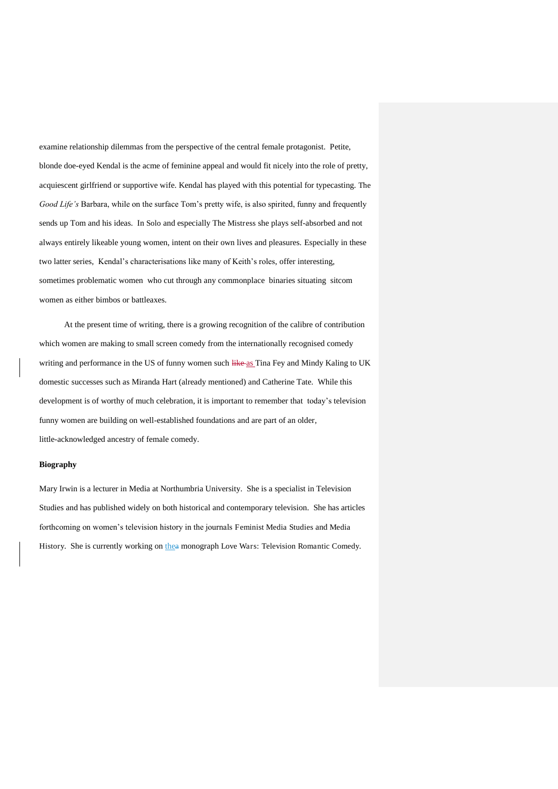examine relationship dilemmas from the perspective of the central female protagonist. Petite, blonde doe-eyed Kendal is the acme of feminine appeal and would fit nicely into the role of pretty, acquiescent girlfriend or supportive wife. Kendal has played with this potential for typecasting. The *Good Life's* Barbara, while on the surface Tom's pretty wife, is also spirited, funny and frequently sends up Tom and his ideas. In Solo and especially The Mistress she plays self-absorbed and not always entirely likeable young women, intent on their own lives and pleasures. Especially in these two latter series, Kendal's characterisations like many of Keith's roles, offer interesting, sometimes problematic women who cut through any commonplace binaries situating sitcom women as either bimbos or battleaxes.

At the present time of writing, there is a growing recognition of the calibre of contribution which women are making to small screen comedy from the internationally recognised comedy writing and performance in the US of funny women such like as Tina Fey and Mindy Kaling to UK domestic successes such as Miranda Hart (already mentioned) and Catherine Tate. While this development is of worthy of much celebration, it is important to remember that today's television funny women are building on well-established foundations and are part of an older, little-acknowledged ancestry of female comedy.

## **Biography**

Mary Irwin is a lecturer in Media at Northumbria University. She is a specialist in Television Studies and has published widely on both historical and contemporary television. She has articles forthcoming on women's television history in the journals Feminist Media Studies and Media History. She is currently working on thea monograph Love Wars: Television Romantic Comedy.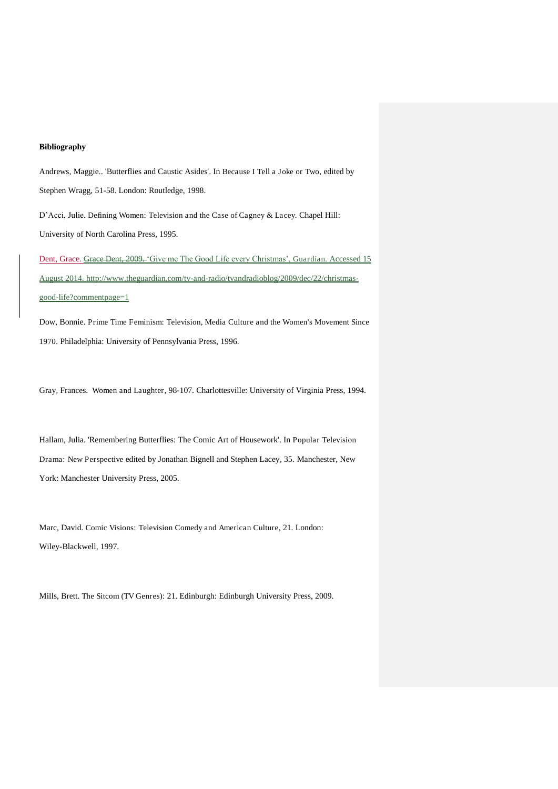#### **Bibliography**

Andrews, Maggie.. 'Butterflies and Caustic Asides'. In Because I Tell a Joke or Two, edited by Stephen Wragg, 51-58. London: Routledge, 1998.

D'Acci, Julie. Defining Women: Television and the Case of Cagney & Lacey. Chapel Hill: University of North Carolina Press, 1995.

Dent, Grace. Grace Dent, 2009. 'Give me The Good Life every Christmas', Guardian. Accessed 15 August 2014. [http://www.theguardian.com/tv-and-radio/tvandradioblog/2009/dec/22/christmas](http://www.theguardian.com/tv-and-radio/tvandradioblog/2009/dec/22/christmas-good-life?commentpage=1)[good-life?commentpage=1](http://www.theguardian.com/tv-and-radio/tvandradioblog/2009/dec/22/christmas-good-life?commentpage=1)

Dow, Bonnie. Prime Time Feminism: Television, Media Culture and the Women's Movement Since 1970. Philadelphia: University of Pennsylvania Press, 1996.

Gray, Frances. Women and Laughter, 98-107. Charlottesville: University of Virginia Press, 1994.

Hallam, Julia. 'Remembering Butterflies: The Comic Art of Housework'. In Popular Television Drama: New Perspective edited by Jonathan Bignell and Stephen Lacey, 35. Manchester, New York: Manchester University Press, 2005.

Marc, David. Comic Visions: Television Comedy and American Culture, 21. London: Wiley-Blackwell, 1997.

Mills, Brett. The Sitcom (TV Genres): 21. Edinburgh: Edinburgh University Press, 2009.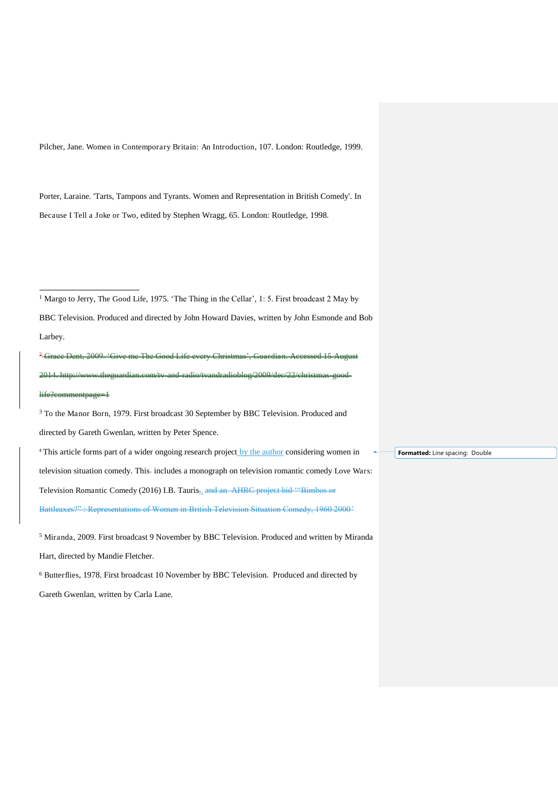Pilcher, Jane. Women in Contemporary Britain: An Introduction, 107. London: Routledge, 1999.

Porter, Laraine. 'Tarts, Tampons and Tyrants. Women and Representation in British Comedy'. In Because I Tell a Joke or Two, edited by Stephen Wragg, 65. London: Routledge, 1998.

<sup>1</sup> Margo to Jerry, The Good Life, 1975. 'The Thing in the Cellar', 1: 5. First broadcast 2 May by BBC Television. Produced and directed by John Howard Davies, written by John Esmonde and Bob Larbey.

 $\overline{a}$ 

<sup>2</sup> Grace Dent, 2009. 'Give me The Good Life every Christmas', Guardian. Accessed 15 Aug 2014. http://www.theguardian.com/tv-and-radio/tvandradioblog/2009/dec/22/christmas-goodlife?commentpage=1

<sup>3</sup> To the Manor Born, 1979. First broadcast 30 September by BBC Television. Produced and directed by Gareth Gwenlan, written by Peter Spence.

<sup>4</sup> This article forms part of a wider ongoing research project by the author considering women in television situation comedy. This-includes a monograph on television romantic comedy Love Wars: Television Romantic Comedy (2016) I.B. Tauris<sub>7,</sub> and an AHRC project bid "Bimbos or Battleaxes?" : Representations of Women in British Television Situation Comedy, 1960 2000'

<sup>5</sup> Miranda, 2009. First broadcast 9 November by BBC Television. Produced and written by Miranda Hart, directed by Mandie Fletcher.

<sup>6</sup> Butterflies, 1978. First broadcast 10 November by BBC Television. Produced and directed by Gareth Gwenlan, written by Carla Lane.

**Formatted:** Line spacing: Double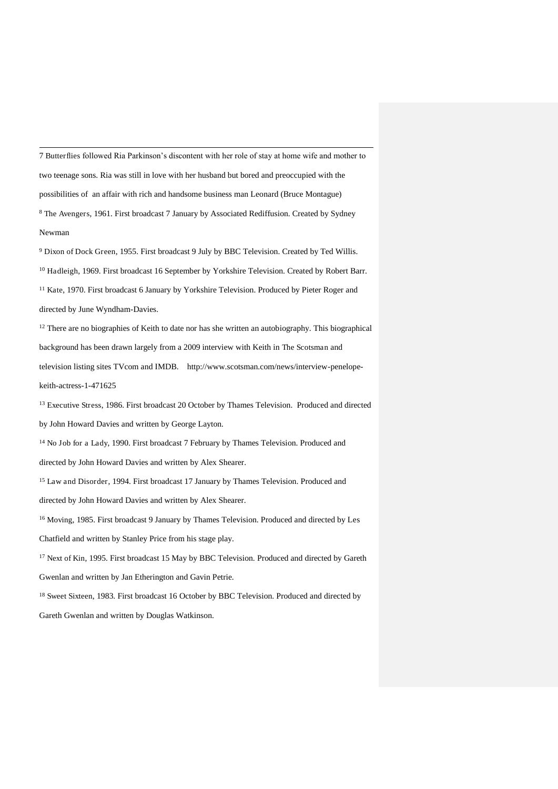7 Butterflies followed Ria Parkinson's discontent with her role of stay at home wife and mother to two teenage sons. Ria was still in love with her husband but bored and preoccupied with the possibilities of an affair with rich and handsome business man Leonard (Bruce Montague) <sup>8</sup> The Avengers, 1961. First broadcast 7 January by Associated Rediffusion. Created by Sydney Newman

<sup>9</sup> Dixon of Dock Green, 1955. First broadcast 9 July by BBC Television. Created by Ted Willis. <sup>10</sup> Hadleigh, 1969. First broadcast 16 September by Yorkshire Television. Created by Robert Barr. <sup>11</sup> Kate, 1970. First broadcast 6 January by Yorkshire Television. Produced by Pieter Roger and directed by June Wyndham-Davies.

 $12$  There are no biographies of Keith to date nor has she written an autobiography. This biographical background has been drawn largely from a 2009 interview with Keith in The Scotsman and television listing sites TVcom and IMDB. http://www.scotsman.com/news/interview-penelopekeith-actress-1-471625

<sup>13</sup> Executive Stress, 1986. First broadcast 20 October by Thames Television. Produced and directed by John Howard Davies and written by George Layton.

<sup>14</sup> No Job for a Lady, 1990. First broadcast 7 February by Thames Television. Produced and

directed by John Howard Davies and written by Alex Shearer.

.

<sup>15</sup> Law and Disorder, 1994. First broadcast 17 January by Thames Television. Produced and

directed by John Howard Davies and written by Alex Shearer.

<sup>16</sup> Moving, 1985. First broadcast 9 January by Thames Television. Produced and directed by Les Chatfield and written by Stanley Price from his stage play.

<sup>17</sup> Next of Kin, 1995. First broadcast 15 May by BBC Television. Produced and directed by Gareth

Gwenlan and written by Jan Etherington and Gavin Petrie.

<sup>18</sup> Sweet Sixteen, 1983. First broadcast 16 October by BBC Television. Produced and directed by Gareth Gwenlan and written by Douglas Watkinson.